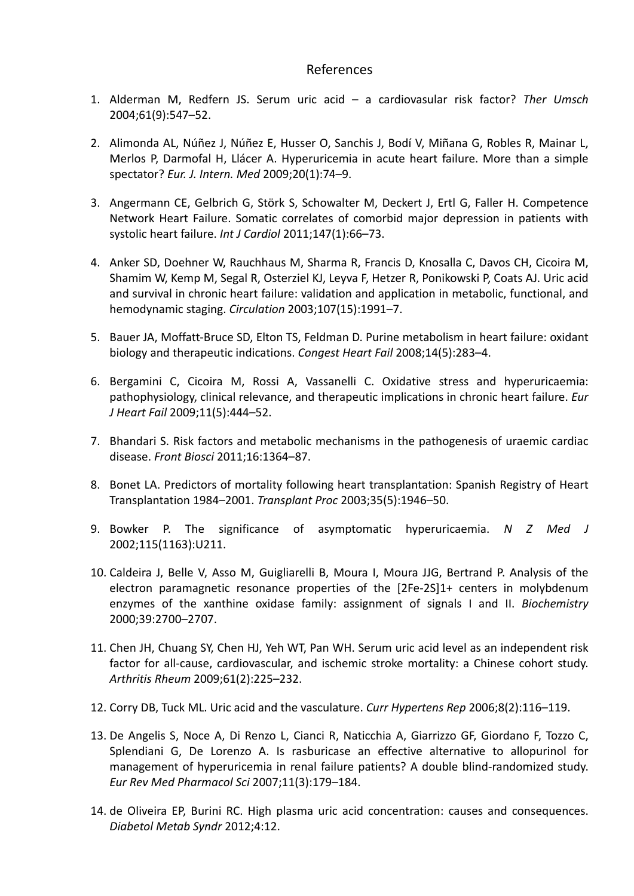## References

- 1. Alderman M, Redfern JS. Serum uric acid a cardiovasular risk factor? *Ther Umsch* 2004;61(9):547–52.
- 2. Alimonda AL, Núñez J, Núñez E, Husser O, Sanchis J, Bodí V, Miñana G, Robles R, Mainar L, Merlos P, Darmofal H, Llácer A. Hyperuricemia in acute heart failure. More than a simple spectator? *Eur. J. Intern. Med* 2009;20(1):74–9.
- 3. Angermann CE, Gelbrich G, Störk S, Schowalter M, Deckert J, Ertl G, Faller H. Competence Network Heart Failure. Somatic correlates of comorbid major depression in patients with systolic heart failure. *Int J Cardiol* 2011;147(1):66–73.
- 4. Anker SD, Doehner W, Rauchhaus M, Sharma R, Francis D, Knosalla C, Davos CH, Cicoira M, Shamim W, Kemp M, Segal R, Osterziel KJ, Leyva F, Hetzer R, Ponikowski P, Coats AJ. Uric acid and survival in chronic heart failure: validation and application in metabolic, functional, and hemodynamic staging. *Circulation* 2003;107(15):1991–7.
- 5. Bauer JA, Moffatt-Bruce SD, Elton TS, Feldman D. Purine metabolism in heart failure: oxidant biology and therapeutic indications. *Congest Heart Fail* 2008;14(5):283–4.
- 6. Bergamini C, Cicoira M, Rossi A, Vassanelli C. Oxidative stress and hyperuricaemia: pathophysiology, clinical relevance, and therapeutic implications in chronic heart failure. *Eur J Heart Fail* 2009;11(5):444–52.
- 7. Bhandari S. Risk factors and metabolic mechanisms in the pathogenesis of uraemic cardiac disease. *Front Biosci* 2011;16:1364–87.
- 8. Bonet LA. Predictors of mortality following heart transplantation: Spanish Registry of Heart Transplantation 1984–2001. *Transplant Proc* 2003;35(5):1946–50.
- 9. Bowker P. The significance of asymptomatic hyperuricaemia. *N Z Med J* 2002;115(1163):U211.
- 10. Caldeira J, Belle V, Asso M, Guigliarelli B, Moura I, Moura JJG, Bertrand P. Analysis of the electron paramagnetic resonance properties of the [2Fe‐2S]1+ centers in molybdenum enzymes of the xanthine oxidase family: assignment of signals I and II. *Biochemistry* 2000;39:2700–2707.
- 11. Chen JH, Chuang SY, Chen HJ, Yeh WT, Pan WH. Serum uric acid level as an independent risk factor for all-cause, cardiovascular, and ischemic stroke mortality: a Chinese cohort study. *Arthritis Rheum* 2009;61(2):225–232.
- 12. Corry DB, Tuck ML. Uric acid and the vasculature. *Curr Hypertens Rep* 2006;8(2):116–119.
- 13. De Angelis S, Noce A, Di Renzo L, Cianci R, Naticchia A, Giarrizzo GF, Giordano F, Tozzo C, Splendiani G, De Lorenzo A. Is rasburicase an effective alternative to allopurinol for management of hyperuricemia in renal failure patients? A double blind‐randomized study. *Eur Rev Med Pharmacol Sci* 2007;11(3):179–184.
- 14. de Oliveira EP, Burini RC. High plasma uric acid concentration: causes and consequences. *Diabetol Metab Syndr* 2012;4:12.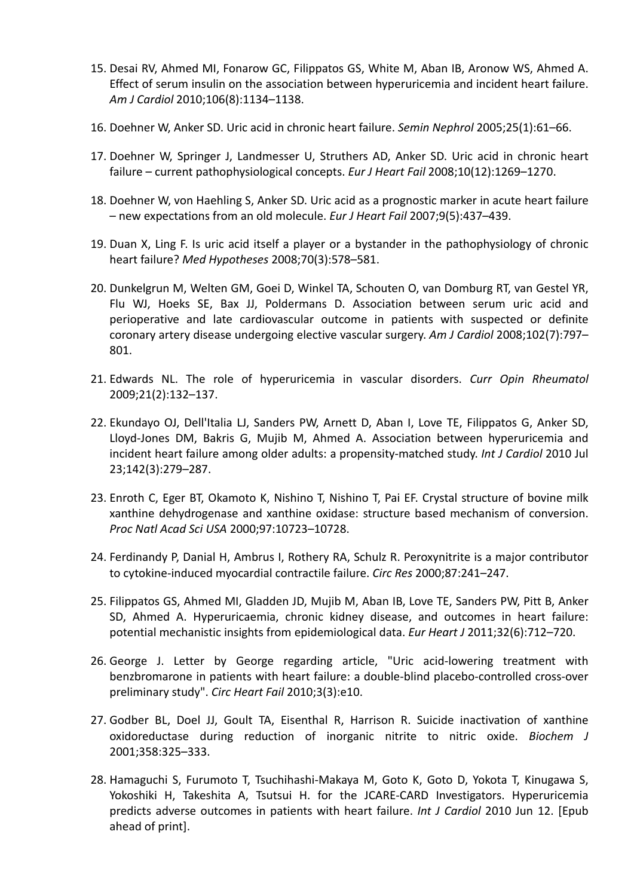- 15. Desai RV, Ahmed MI, Fonarow GC, Filippatos GS, White M, Aban IB, Aronow WS, Ahmed A. Effect of serum insulin on the association between hyperuricemia and incident heart failure. *Am J Cardiol* 2010;106(8):1134–1138.
- 16. Doehner W, Anker SD. Uric acid in chronic heart failure. *Semin Nephrol* 2005;25(1):61–66.
- 17. Doehner W, Springer J, Landmesser U, Struthers AD, Anker SD. Uric acid in chronic heart failure – сurrent pathophysiological concepts. *Eur J Heart Fail* 2008;10(12):1269–1270.
- 18. Doehner W, von Haehling S, Anker SD. Uric acid as a prognostic marker in acute heart failure – new expectations from an old molecule. *Eur J Heart Fail* 2007;9(5):437–439.
- 19. Duan X, Ling F. Is uric acid itself a player or a bystander in the pathophysiology of chronic heart failure? *Med Hypotheses* 2008;70(3):578–581.
- 20. Dunkelgrun M, Welten GM, Goei D, Winkel TA, Schouten O, van Domburg RT, van Gestel YR, Flu WJ, Hoeks SE, Bax JJ, Poldermans D. Association between serum uric acid and perioperative and late cardiovascular outcome in patients with suspected or definite coronary artery disease undergoing elective vascular surgery. *Am J Cardiol* 2008;102(7):797– 801.
- 21. Edwards NL. The role of hyperuricemia in vascular disorders. *Curr Opin Rheumatol* 2009;21(2):132–137.
- 22. Ekundayo OJ, Dell'Italia LJ, Sanders PW, Arnett D, Aban I, Love TE, Filippatos G, Anker SD, Lloyd‐Jones DM, Bakris G, Mujib M, Ahmed A. Association between hyperuricemia and incident heart failure among older adults: a propensity‐matched study. *Int J Cardiol* 2010 Jul 23;142(3):279–287.
- 23. Enroth C, Eger BT, Okamoto K, Nishino T, Nishino T, Pai EF. Crystal structure of bovine milk xanthine dehydrogenase and xanthine oxidase: structure based mechanism of conversion. *Proc Natl Acad Sci USA* 2000;97:10723–10728.
- 24. Ferdinandy P, Danial H, Ambrus I, Rothery RA, Schulz R. Peroxynitrite is a major contributor to cytokine‐induced myocardial contractile failure. *Circ Res* 2000;87:241–247.
- 25. Filippatos GS, Ahmed MI, Gladden JD, Mujib M, Aban IB, Love TE, Sanders PW, Pitt B, Anker SD, Ahmed A. Hyperuricaemia, chronic kidney disease, and outcomes in heart failure: potential mechanistic insights from epidemiological data. *Eur Heart J* 2011;32(6):712–720.
- 26. George J. Letter by George regarding article, "Uric acid‐lowering treatment with benzbromarone in patients with heart failure: a double‐blind placebo‐controlled cross‐over preliminary study". *Circ Heart Fail* 2010;3(3):e10.
- 27. Godber BL, Doel JJ, Goult TA, Eisenthal R, Harrison R. Suicide inactivation of xanthine oxidoreductase during reduction of inorganic nitrite to nitric oxide. *Biochem J* 2001;358:325–333.
- 28. Hamaguchi S, Furumoto T, Tsuchihashi‐Makaya M, Goto K, Goto D, Yokota T, Kinugawa S, Yokoshiki H, Takeshita A, Tsutsui H. for the JCARE‐CARD Investigators. Hyperuricemia predicts adverse outcomes in patients with heart failure. *Int J Cardiol* 2010 Jun 12. [Epub ahead of print].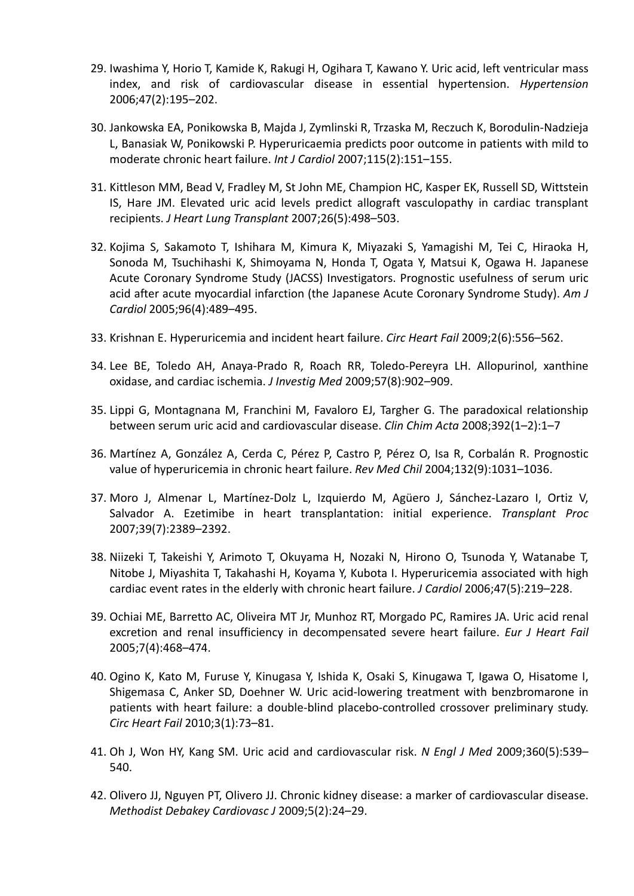- 29. Iwashima Y, Horio T, Kamide K, Rakugi H, Ogihara T, Kawano Y. Uric acid, left ventricular mass index, and risk of cardiovascular disease in essential hypertension. *Hypertension* 2006;47(2):195–202.
- 30. Jankowska EA, Ponikowska B, Majda J, Zymlinski R, Trzaska M, Reczuch K, Borodulin‐Nadzieja L, Banasiak W, Ponikowski P. Hyperuricaemia predicts poor outcome in patients with mild to moderate chronic heart failure. *Int J Cardiol* 2007;115(2):151–155.
- 31. Kittleson MM, Bead V, Fradley M, St John ME, Champion HC, Kasper EK, Russell SD, Wittstein IS, Hare JM. Elevated uric acid levels predict allograft vasculopathy in cardiac transplant recipients. *J Heart Lung Transplant* 2007;26(5):498–503.
- 32. Kojima S, Sakamoto T, Ishihara M, Kimura K, Miyazaki S, Yamagishi M, Tei C, Hiraoka H, Sonoda M, Tsuchihashi K, Shimoyama N, Honda T, Ogata Y, Matsui K, Ogawa H. Japanese Acute Coronary Syndrome Study (JACSS) Investigators. Prognostic usefulness of serum uric acid after acute myocardial infarction (the Japanese Acute Coronary Syndrome Study). *Am J Cardiol* 2005;96(4):489–495.
- 33. Krishnan E. Hyperuricemia and incident heart failure. *Circ Heart Fail* 2009;2(6):556–562.
- 34. Lee BE, Toledo AH, Anaya‐Prado R, Roach RR, Toledo‐Pereyra LH. Allopurinol, xanthine oxidase, and cardiac ischemia. *J Investig Med* 2009;57(8):902–909.
- 35. Lippi G, Montagnana M, Franchini M, Favaloro EJ, Targher G. The paradoxical relationship between serum uric acid and cardiovascular disease. *Clin Chim Acta* 2008;392(1–2):1–7
- 36. Martínez A, González A, Cerda C, Pérez P, Castro P, Pérez O, Isa R, Corbalán R. Prognostic value of hyperuricemia in chronic heart failure. *Rev Med Chil* 2004;132(9):1031–1036.
- 37. Moro J, Almenar L, Martínez‐Dolz L, Izquierdo M, Agüero J, Sánchez‐Lazaro I, Ortiz V, Salvador A. Ezetimibe in heart transplantation: initial experience. *Transplant Proc* 2007;39(7):2389–2392.
- 38. Niizeki T, Takeishi Y, Arimoto T, Okuyama H, Nozaki N, Hirono O, Tsunoda Y, Watanabe T, Nitobe J, Miyashita T, Takahashi H, Koyama Y, Kubota I. Hyperuricemia associated with high cardiac event rates in the elderly with chronic heart failure. *J Cardiol* 2006;47(5):219–228.
- 39. Ochiai ME, Barretto AC, Oliveira MT Jr, Munhoz RT, Morgado PC, Ramires JA. Uric acid renal excretion and renal insufficiency in decompensated severe heart failure. *Eur J Heart Fail* 2005;7(4):468–474.
- 40. Ogino K, Kato M, Furuse Y, Kinugasa Y, Ishida K, Osaki S, Kinugawa T, Igawa O, Hisatome I, Shigemasa C, Anker SD, Doehner W. Uric acid‐lowering treatment with benzbromarone in patients with heart failure: a double‐blind placebo‐controlled crossover preliminary study. *Circ Heart Fail* 2010;3(1):73–81.
- 41. Oh J, Won HY, Kang SM. Uric acid and cardiovascular risk. *N Engl J Med* 2009;360(5):539– 540.
- 42. Olivero JJ, Nguyen PT, Olivero JJ. Chronic kidney disease: a marker of cardiovascular disease. *Methodist Debakey Cardiovasc J* 2009;5(2):24–29.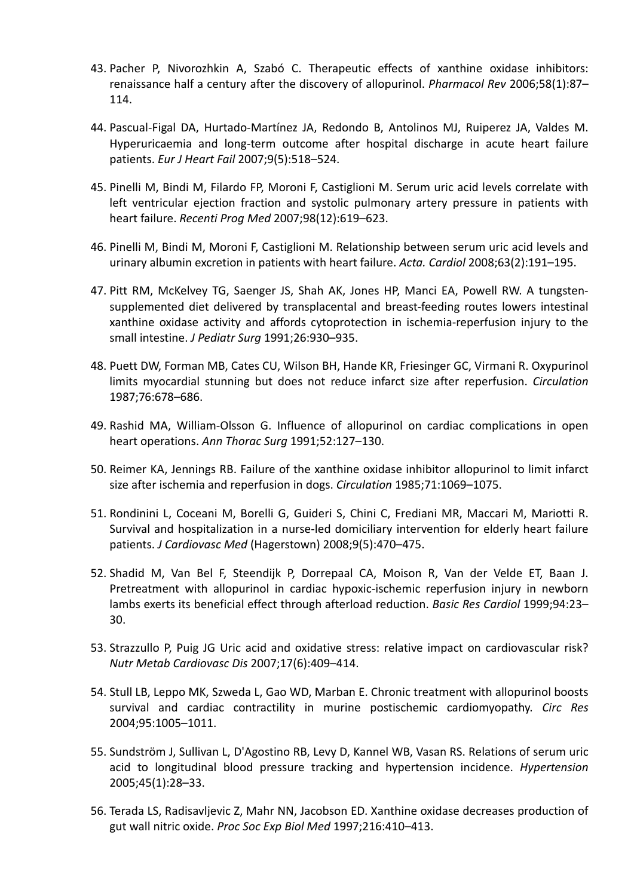- 43. Pacher P, Nivorozhkin A, Szabó C. Therapeutic effects of xanthine oxidase inhibitors: renaissance half a century after the discovery of allopurinol. *Pharmacol Rev* 2006;58(1):87– 114.
- 44. Pascual‐Figal DA, Hurtado‐Martínez JA, Redondo B, Antolinos MJ, Ruiperez JA, Valdes M. Hyperuricaemia and long‐term outcome after hospital discharge in acute heart failure patients. *Eur J Heart Fail* 2007;9(5):518–524.
- 45. Pinelli M, Bindi M, Filardo FP, Moroni F, Castiglioni M. Serum uric acid levels correlate with left ventricular ejection fraction and systolic pulmonary artery pressure in patients with heart failure. *Recenti Prog Med* 2007;98(12):619–623.
- 46. Pinelli M, Bindi M, Moroni F, Castiglioni M. Relationship between serum uric acid levels and urinary albumin excretion in patients with heart failure. *Acta. Cardiol* 2008;63(2):191–195.
- 47. Pitt RM, McKelvey TG, Saenger JS, Shah AK, Jones HP, Manci EA, Powell RW. A tungsten‐ supplemented diet delivered by transplacental and breast-feeding routes lowers intestinal xanthine oxidase activity and affords cytoprotection in ischemia‐reperfusion injury to the small intestine. *J Pediatr Surg* 1991;26:930–935.
- 48. Puett DW, Forman MB, Cates CU, Wilson BH, Hande KR, Friesinger GC, Virmani R. Oxypurinol limits myocardial stunning but does not reduce infarct size after reperfusion. *Circulation* 1987;76:678–686.
- 49. Rashid MA, William‐Olsson G. Influence of allopurinol on cardiac complications in open heart operations. *Ann Thorac Surg* 1991;52:127–130.
- 50. Reimer KA, Jennings RB. Failure of the xanthine oxidase inhibitor allopurinol to limit infarct size after ischemia and reperfusion in dogs. *Circulation* 1985;71:1069–1075.
- 51. Rondinini L, Coceani M, Borelli G, Guideri S, Chini C, Frediani MR, Maccari M, Mariotti R. Survival and hospitalization in a nurse‐led domiciliary intervention for elderly heart failure patients. *J Cardiovasc Med* (Hagerstown) 2008;9(5):470–475.
- 52. Shadid M, Van Bel F, Steendijk P, Dorrepaal CA, Moison R, Van der Velde ET, Baan J. Pretreatment with allopurinol in cardiac hypoxic‐ischemic reperfusion injury in newborn lambs exerts its beneficial effect through afterload reduction. *Basic Res Cardiol* 1999;94:23– 30.
- 53. Strazzullo P, Puig JG Uric acid and oxidative stress: relative impact on cardiovascular risk? *Nutr Metab Cardiovasc Dis* 2007;17(6):409–414.
- 54. Stull LB, Leppo MK, Szweda L, Gao WD, Marban E. Chronic treatment with allopurinol boosts survival and cardiac contractility in murine postischemic cardiomyopathy. *Circ Res* 2004;95:1005–1011.
- 55. Sundström J, Sullivan L, D'Agostino RB, Levy D, Kannel WB, Vasan RS. Relations of serum uric acid to longitudinal blood pressure tracking and hypertension incidence. *Hypertension* 2005;45(1):28–33.
- 56. Terada LS, Radisavljevic Z, Mahr NN, Jacobson ED. Xanthine oxidase decreases production of gut wall nitric oxide. *Proc Soc Exp Biol Med* 1997;216:410–413.